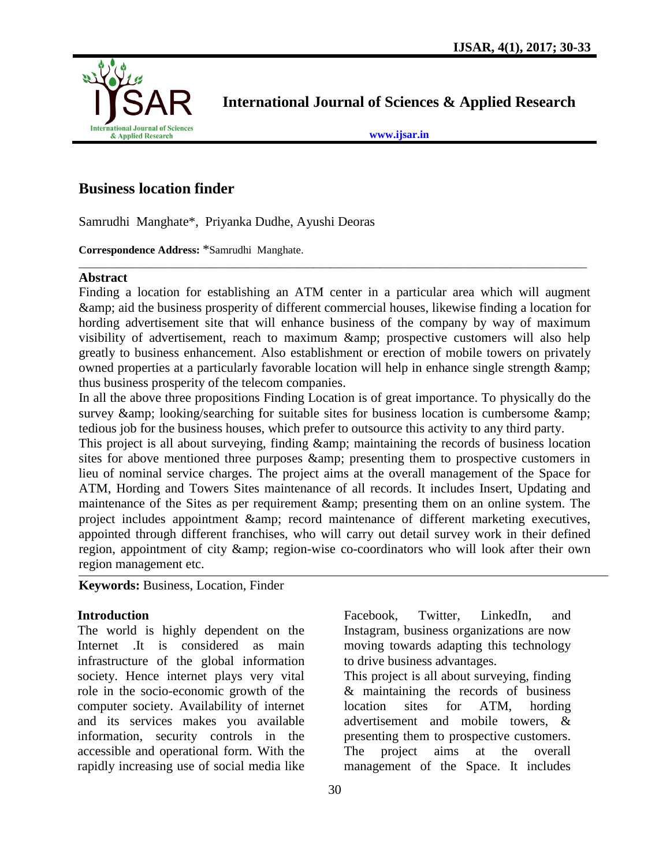

**International Journal of Sciences & Applied Research**

**[www.ijsar.in](http://www.ijsar.in/)**

# **Business location finder**

Samrudhi Manghate\*, Priyanka Dudhe, Ayushi Deoras

**Correspondence Address:** \*Samrudhi Manghate.

#### **Abstract**

Finding a location for establishing an ATM center in a particular area which will augment & aid the business prosperity of different commercial houses, likewise finding a location for hording advertisement site that will enhance business of the company by way of maximum visibility of advertisement, reach to maximum & amp; prospective customers will also help greatly to business enhancement. Also establishment or erection of mobile towers on privately owned properties at a particularly favorable location will help in enhance single strength & thus business prosperity of the telecom companies.

 $\overline{a_1}$  ,  $\overline{a_2}$  ,  $\overline{a_3}$  ,  $\overline{a_4}$  ,  $\overline{a_5}$  ,  $\overline{a_6}$  ,  $\overline{a_7}$  ,  $\overline{a_8}$  ,  $\overline{a_9}$  ,  $\overline{a_9}$  ,  $\overline{a_9}$  ,  $\overline{a_9}$  ,  $\overline{a_9}$  ,  $\overline{a_9}$  ,  $\overline{a_9}$  ,  $\overline{a_9}$  ,  $\overline{a_9}$  ,

In all the above three propositions Finding Location is of great importance. To physically do the survey & amp; looking/searching for suitable sites for business location is cumbersome & amp; tedious job for the business houses, which prefer to outsource this activity to any third party.

This project is all about surveying, finding & amp; maintaining the records of business location sites for above mentioned three purposes & amp; presenting them to prospective customers in lieu of nominal service charges. The project aims at the overall management of the Space for ATM, Hording and Towers Sites maintenance of all records. It includes Insert, Updating and maintenance of the Sites as per requirement & amp; presenting them on an online system. The project includes appointment & amp; record maintenance of different marketing executives, appointed through different franchises, who will carry out detail survey work in their defined region, appointment of city & amp; region-wise co-coordinators who will look after their own region management etc.

# **Keywords:** Business, Location, Finder

# **Introduction**

The world is highly dependent on the Internet .It is considered as main infrastructure of the global information society. Hence internet plays very vital role in the socio-economic growth of the computer society. Availability of internet and its services makes you available information, security controls in the accessible and operational form. With the rapidly increasing use of social media like

Facebook, Twitter, LinkedIn, and Instagram, business organizations are now moving towards adapting this technology to drive business advantages.

This project is all about surveying, finding & maintaining the records of business location sites for ATM, hording advertisement and mobile towers, & presenting them to prospective customers. The project aims at the overall management of the Space. It includes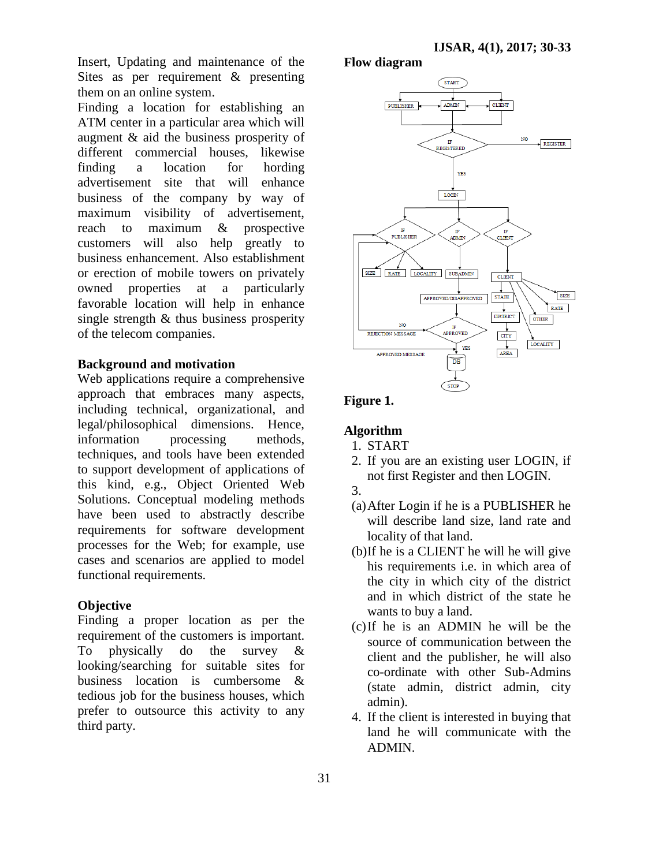Insert, Updating and maintenance of the Sites as per requirement & presenting them on an online system.

Finding a location for establishing an ATM center in a particular area which will augment & aid the business prosperity of different commercial houses, likewise finding a location for hording advertisement site that will enhance business of the company by way of maximum visibility of advertisement, reach to maximum & prospective customers will also help greatly to business enhancement. Also establishment or erection of mobile towers on privately owned properties at a particularly favorable location will help in enhance single strength & thus business prosperity of the telecom companies.

#### **Background and motivation**

Web applications require a comprehensive approach that embraces many aspects, including technical, organizational, and legal/philosophical dimensions. Hence, information processing methods, techniques, and tools have been extended to support development of applications of this kind, e.g., Object Oriented Web Solutions. Conceptual modeling methods have been used to abstractly describe requirements for software development processes for the Web; for example, use cases and scenarios are applied to model functional requirements.

#### **Objective**

Finding a proper location as per the requirement of the customers is important. To physically do the survey & looking/searching for suitable sites for business location is cumbersome & tedious job for the business houses, which prefer to outsource this activity to any third party.

# **Flow diagram**



# **Figure 1.**

# **Algorithm**

- 1. START
- 2. If you are an existing user LOGIN, if not first Register and then LOGIN.

- (a)After Login if he is a PUBLISHER he will describe land size, land rate and locality of that land.
- (b)If he is a CLIENT he will he will give his requirements i.e. in which area of the city in which city of the district and in which district of the state he wants to buy a land.
- (c)If he is an ADMIN he will be the source of communication between the client and the publisher, he will also co-ordinate with other Sub-Admins (state admin, district admin, city admin).
- 4. If the client is interested in buying that land he will communicate with the ADMIN.

<sup>3.</sup>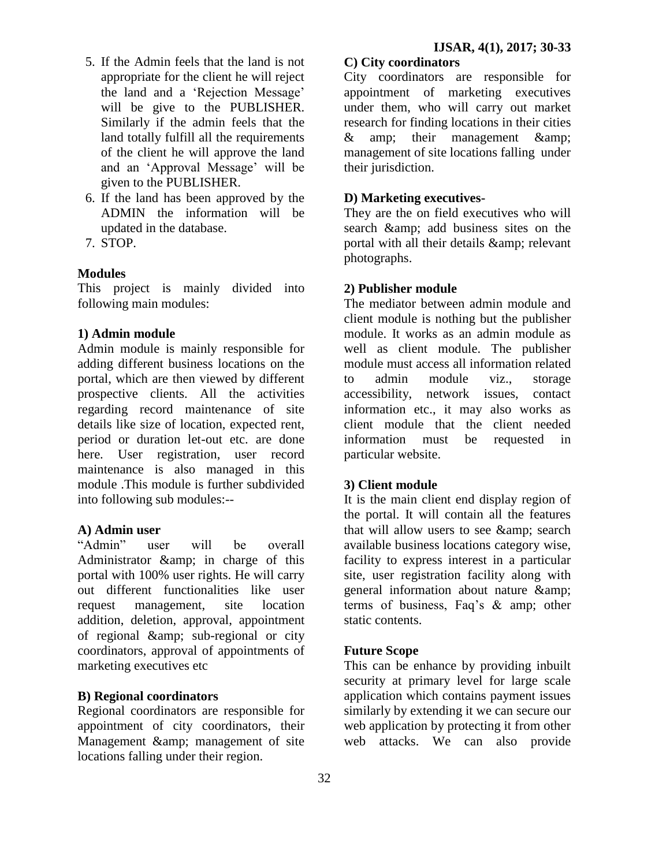- 5. If the Admin feels that the land is not appropriate for the client he will reject the land and a 'Rejection Message' will be give to the PUBLISHER. Similarly if the admin feels that the land totally fulfill all the requirements of the client he will approve the land and an "Approval Message" will be given to the PUBLISHER.
- 6. If the land has been approved by the ADMIN the information will be updated in the database.
- 7. STOP.

# **Modules**

This project is mainly divided into following main modules:

# **1) Admin module**

Admin module is mainly responsible for adding different business locations on the portal, which are then viewed by different prospective clients. All the activities regarding record maintenance of site details like size of location, expected rent, period or duration let-out etc. are done here. User registration, user record maintenance is also managed in this module .This module is further subdivided into following sub modules:--

#### **A) Admin user**

"Admin" user will be overall Administrator & amp; in charge of this portal with 100% user rights. He will carry out different functionalities like user request management, site location addition, deletion, approval, appointment of regional & amp; sub-regional or city coordinators, approval of appointments of marketing executives etc

#### **B) Regional coordinators**

Regional coordinators are responsible for appointment of city coordinators, their Management & amp; management of site locations falling under their region.

# **C) City coordinators**

City coordinators are responsible for appointment of marketing executives under them, who will carry out market research for finding locations in their cities & amp; their management & management of site locations falling under their jurisdiction.

# **D) Marketing executives-**

They are the on field executives who will search & amp; add business sites on the portal with all their details & amp; relevant photographs.

# **2) Publisher module**

The mediator between admin module and client module is nothing but the publisher module. It works as an admin module as well as client module. The publisher module must access all information related to admin module viz., storage accessibility, network issues, contact information etc., it may also works as client module that the client needed information must be requested in particular website.

#### **3) Client module**

It is the main client end display region of the portal. It will contain all the features that will allow users to see & amp; search available business locations category wise, facility to express interest in a particular site, user registration facility along with general information about nature & terms of business, Faq"s & amp; other static contents.

#### **Future Scope**

This can be enhance by providing inbuilt security at primary level for large scale application which contains payment issues similarly by extending it we can secure our web application by protecting it from other web attacks. We can also provide